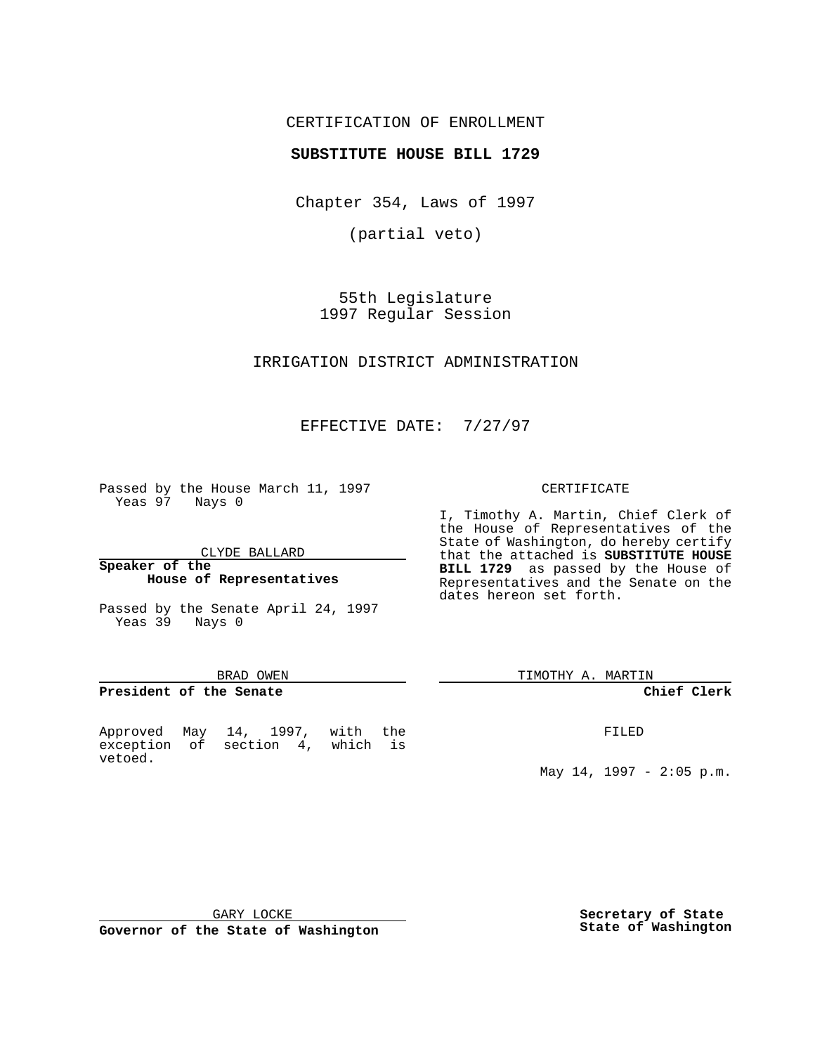## CERTIFICATION OF ENROLLMENT

## **SUBSTITUTE HOUSE BILL 1729**

Chapter 354, Laws of 1997

(partial veto)

55th Legislature 1997 Regular Session

### IRRIGATION DISTRICT ADMINISTRATION

# EFFECTIVE DATE: 7/27/97

Passed by the House March 11, 1997 Yeas 97 Nays 0

CLYDE BALLARD

### **Speaker of the House of Representatives**

Passed by the Senate April 24, 1997 Yeas 39 Nays 0

#### BRAD OWEN

#### **President of the Senate**

Approved May 14, 1997, with the exception of section 4, which is vetoed.

#### CERTIFICATE

I, Timothy A. Martin, Chief Clerk of the House of Representatives of the State of Washington, do hereby certify that the attached is **SUBSTITUTE HOUSE BILL 1729** as passed by the House of Representatives and the Senate on the dates hereon set forth.

TIMOTHY A. MARTIN

#### **Chief Clerk**

FILED

May 14, 1997 - 2:05 p.m.

GARY LOCKE

**Governor of the State of Washington**

**Secretary of State State of Washington**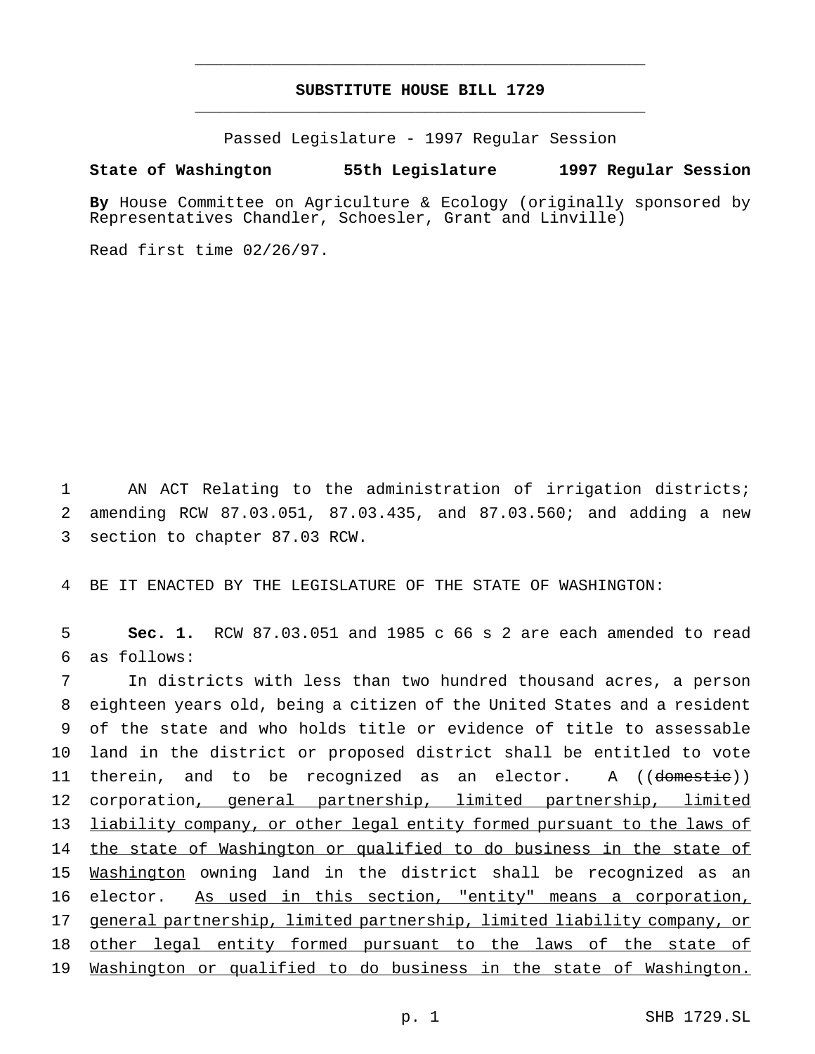# **SUBSTITUTE HOUSE BILL 1729** \_\_\_\_\_\_\_\_\_\_\_\_\_\_\_\_\_\_\_\_\_\_\_\_\_\_\_\_\_\_\_\_\_\_\_\_\_\_\_\_\_\_\_\_\_\_\_

\_\_\_\_\_\_\_\_\_\_\_\_\_\_\_\_\_\_\_\_\_\_\_\_\_\_\_\_\_\_\_\_\_\_\_\_\_\_\_\_\_\_\_\_\_\_\_

Passed Legislature - 1997 Regular Session

### **State of Washington 55th Legislature 1997 Regular Session**

**By** House Committee on Agriculture & Ecology (originally sponsored by Representatives Chandler, Schoesler, Grant and Linville)

Read first time 02/26/97.

1 AN ACT Relating to the administration of irrigation districts; 2 amending RCW 87.03.051, 87.03.435, and 87.03.560; and adding a new 3 section to chapter 87.03 RCW.

4 BE IT ENACTED BY THE LEGISLATURE OF THE STATE OF WASHINGTON:

5 **Sec. 1.** RCW 87.03.051 and 1985 c 66 s 2 are each amended to read 6 as follows:

 In districts with less than two hundred thousand acres, a person eighteen years old, being a citizen of the United States and a resident of the state and who holds title or evidence of title to assessable land in the district or proposed district shall be entitled to vote 11 therein, and to be recognized as an elector. A ((domestic)) 12 corporation, general partnership, limited partnership, limited liability company, or other legal entity formed pursuant to the laws of 14 the state of Washington or qualified to do business in the state of Washington owning land in the district shall be recognized as an elector. As used in this section, "entity" means a corporation, general partnership, limited partnership, limited liability company, or other legal entity formed pursuant to the laws of the state of Washington or qualified to do business in the state of Washington.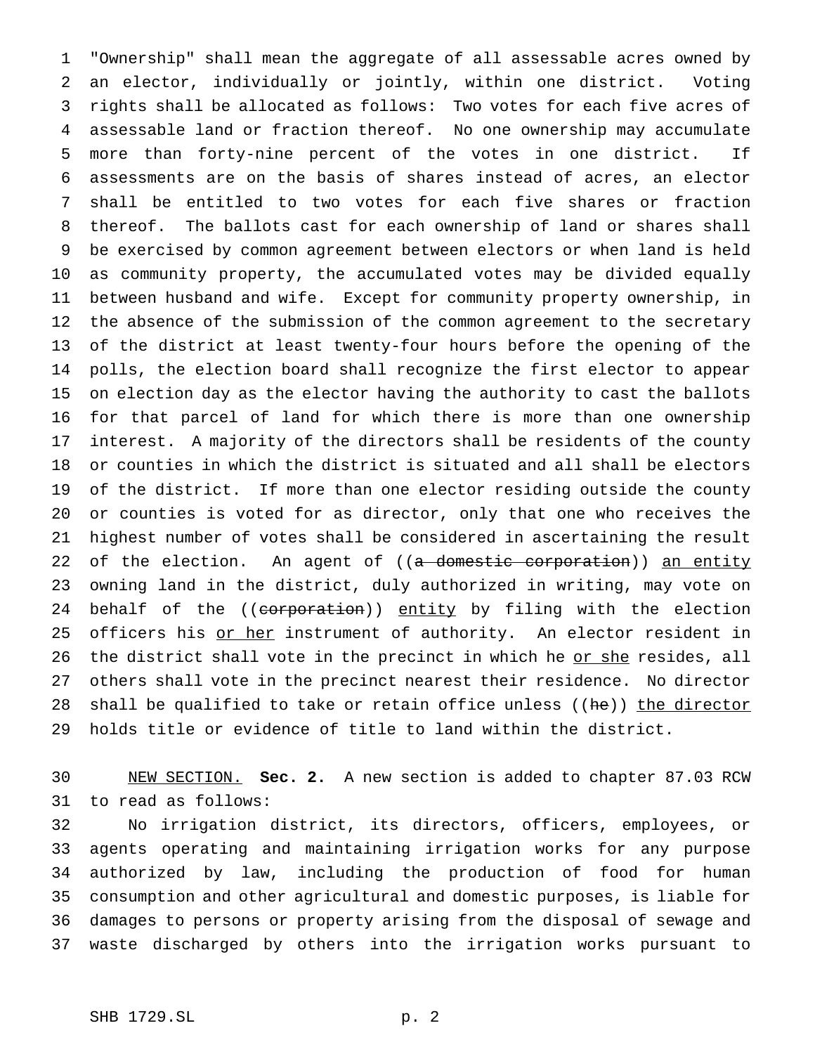"Ownership" shall mean the aggregate of all assessable acres owned by an elector, individually or jointly, within one district. Voting rights shall be allocated as follows: Two votes for each five acres of assessable land or fraction thereof. No one ownership may accumulate more than forty-nine percent of the votes in one district. If assessments are on the basis of shares instead of acres, an elector shall be entitled to two votes for each five shares or fraction thereof. The ballots cast for each ownership of land or shares shall be exercised by common agreement between electors or when land is held as community property, the accumulated votes may be divided equally between husband and wife. Except for community property ownership, in the absence of the submission of the common agreement to the secretary of the district at least twenty-four hours before the opening of the polls, the election board shall recognize the first elector to appear on election day as the elector having the authority to cast the ballots for that parcel of land for which there is more than one ownership interest. A majority of the directors shall be residents of the county or counties in which the district is situated and all shall be electors of the district. If more than one elector residing outside the county or counties is voted for as director, only that one who receives the highest number of votes shall be considered in ascertaining the result 22 of the election. An agent of ((a domestic corporation)) an entity owning land in the district, duly authorized in writing, may vote on 24 behalf of the ((corporation)) entity by filing with the election 25 officers his or her instrument of authority. An elector resident in 26 the district shall vote in the precinct in which he or she resides, all others shall vote in the precinct nearest their residence. No director 28 shall be qualified to take or retain office unless (( $he$ )) the director holds title or evidence of title to land within the district.

 NEW SECTION. **Sec. 2.** A new section is added to chapter 87.03 RCW to read as follows:

 No irrigation district, its directors, officers, employees, or agents operating and maintaining irrigation works for any purpose authorized by law, including the production of food for human consumption and other agricultural and domestic purposes, is liable for damages to persons or property arising from the disposal of sewage and waste discharged by others into the irrigation works pursuant to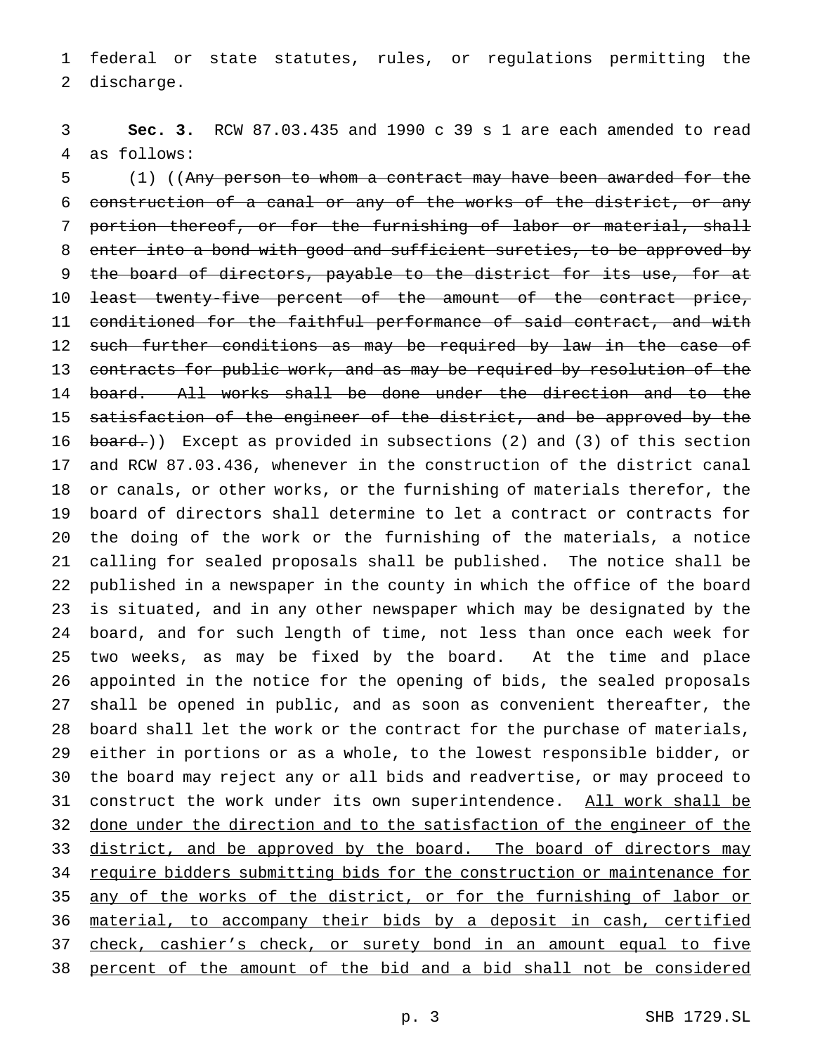federal or state statutes, rules, or regulations permitting the discharge.

 **Sec. 3.** RCW 87.03.435 and 1990 c 39 s 1 are each amended to read as follows:

 (1) ((Any person to whom a contract may have been awarded for the construction of a canal or any of the works of the district, or any portion thereof, or for the furnishing of labor or material, shall enter into a bond with good and sufficient sureties, to be approved by 9 the board of directors, payable to the district for its use, for at least twenty-five percent of the amount of the contract price, conditioned for the faithful performance of said contract, and with 12 such further conditions as may be required by law in the case of 13 contracts for public work, and as may be required by resolution of the board. All works shall be done under the direction and to the 15 satisfaction of the engineer of the district, and be approved by the 16 board.)) Except as provided in subsections (2) and (3) of this section and RCW 87.03.436, whenever in the construction of the district canal or canals, or other works, or the furnishing of materials therefor, the board of directors shall determine to let a contract or contracts for the doing of the work or the furnishing of the materials, a notice calling for sealed proposals shall be published. The notice shall be published in a newspaper in the county in which the office of the board is situated, and in any other newspaper which may be designated by the board, and for such length of time, not less than once each week for two weeks, as may be fixed by the board. At the time and place appointed in the notice for the opening of bids, the sealed proposals shall be opened in public, and as soon as convenient thereafter, the board shall let the work or the contract for the purchase of materials, either in portions or as a whole, to the lowest responsible bidder, or the board may reject any or all bids and readvertise, or may proceed to 31 construct the work under its own superintendence. All work shall be done under the direction and to the satisfaction of the engineer of the 33 district, and be approved by the board. The board of directors may 34 require bidders submitting bids for the construction or maintenance for 35 any of the works of the district, or for the furnishing of labor or material, to accompany their bids by a deposit in cash, certified 37 check, cashier's check, or surety bond in an amount equal to five percent of the amount of the bid and a bid shall not be considered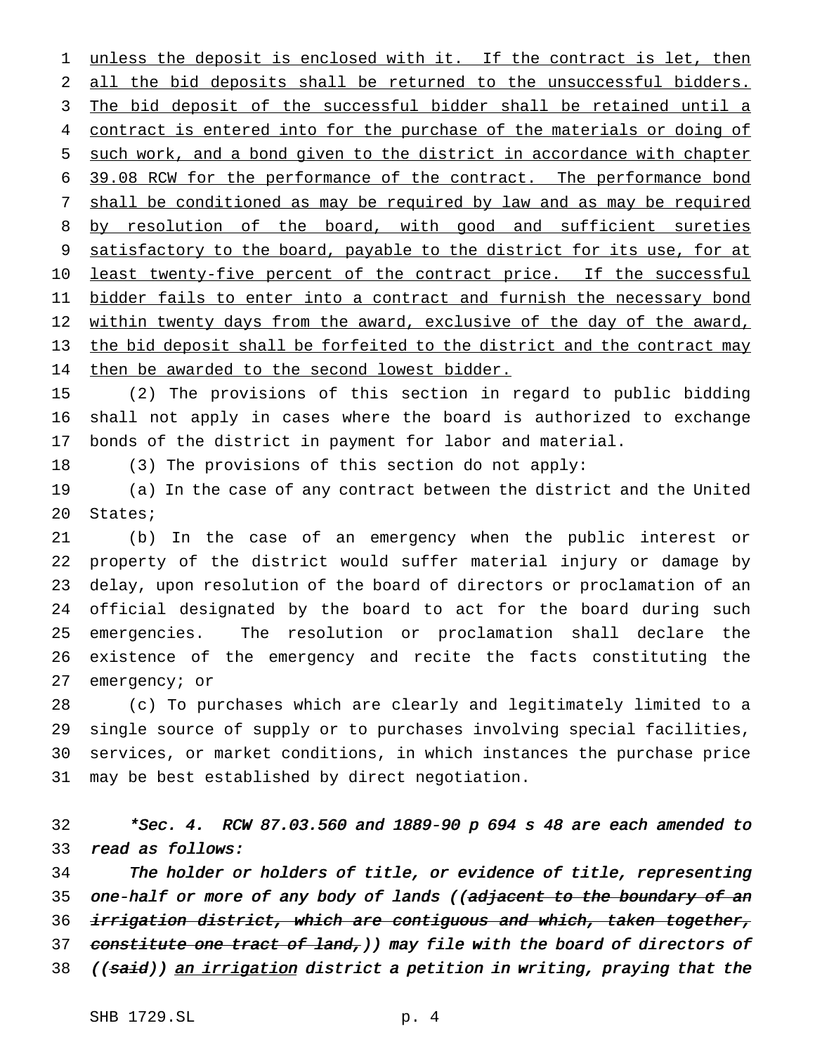1 unless the deposit is enclosed with it. If the contract is let, then all the bid deposits shall be returned to the unsuccessful bidders. 3 The bid deposit of the successful bidder shall be retained until a 4 contract is entered into for the purchase of the materials or doing of such work, and a bond given to the district in accordance with chapter 39.08 RCW for the performance of the contract. The performance bond shall be conditioned as may be required by law and as may be required 8 by resolution of the board, with good and sufficient sureties 9 satisfactory to the board, payable to the district for its use, for at 10 least twenty-five percent of the contract price. If the successful 11 <u>bidder fails to enter into a contract and furnish the necessary bond</u> 12 within twenty days from the award, exclusive of the day of the award, the bid deposit shall be forfeited to the district and the contract may then be awarded to the second lowest bidder.

 (2) The provisions of this section in regard to public bidding shall not apply in cases where the board is authorized to exchange bonds of the district in payment for labor and material.

(3) The provisions of this section do not apply:

 (a) In the case of any contract between the district and the United States;

 (b) In the case of an emergency when the public interest or property of the district would suffer material injury or damage by delay, upon resolution of the board of directors or proclamation of an official designated by the board to act for the board during such emergencies. The resolution or proclamation shall declare the existence of the emergency and recite the facts constituting the emergency; or

 (c) To purchases which are clearly and legitimately limited to a single source of supply or to purchases involving special facilities, services, or market conditions, in which instances the purchase price may be best established by direct negotiation.

 \*Sec. 4. RCW 87.03.560 and 1889-90 <sup>p</sup> <sup>694</sup> <sup>s</sup> <sup>48</sup> are each amended to read as follows:

 The holder or holders of title, or evidence of title, representing 35 one-half or more of any body of lands ((adjacent to the boundary of an 36 irrigation district, which are contiguous and which, taken together, 37 constitute one tract of land, ) may file with the board of directors of 38 ((said)) an irrigation district a petition in writing, praying that the